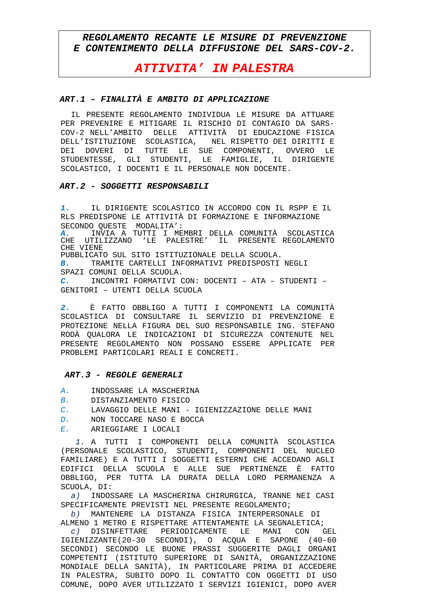# REGOLAMENTO RECANTE LE MISURE DI PREVENZIONE E CONTENIMENTO DELLA DIFFUSIONE DEL SARS-COV-2.

# **ATTIVITA' IN PALESTRA**

## ART.1 - FINALITÀ E AMBITO DI APPLICAZIONE

IL PRESENTE REGOLAMENTO INDIVIDUA LE MISURE DA ATTUARE PER PREVENIRE E MITIGARE IL RISCHIO DI CONTAGIO DA SARS-COV-2 NELL'AMBITO DELLE ATTIVITÀ DI EDUCAZIONE FISICA DELL'ISTITUZIONE SCOLASTICA, NEL RISPETTO DEI DIRITTI E DOVERI DI TUTTE LE SUE COMPONENTI, OVVERO LE DE T STUDENTESSE, GLI STUDENTI, LE FAMIGLIE, IL DIRIGENTE SCOLASTICO, I DOCENTI E IL PERSONALE NON DOCENTE.

### ART.2 - SOGGETTI RESPONSABILI

IL DIRIGENTE SCOLASTICO IN ACCORDO CON IL RSPP E IL  $1.$ RLS PREDISPONE LE ATTIVITÀ DI FORMAZIONE E INFORMAZIONE SECONDO OUESTE MODALITA': INVIA A TUTTI I MEMBRI DELLA COMUNITÀ SCOLASTICA A. **CHE** UTILIZZANO 'LE PALESTRE' IL PRESENTE REGOLAMENTO CHE VIENE PUBBLICATO SUL SITO ISTITUZIONALE DELLA SCUOLA. TRAMITE CARTELLI INFORMATIVI PREDISPOSTI NEGLI  $\mathbf{B}$ . SPAZI COMUNI DELLA SCUOLA. INCONTRI FORMATIVI CON: DOCENTI - ATA - STUDENTI - $\overline{C}$ . GENITORI - UTENTI DELLA SCUOLA

È FATTO OBBLIGO A TUTTI I COMPONENTI LA COMUNITÀ  $\overline{2}$ . SCOLASTICA DI CONSULTARE IL SERVIZIO DI PREVENZIONE E PROTEZIONE NELLA FIGURA DEL SUO RESPONSABILE ING. STEFANO RODÀ OUALORA LE INDICAZIONI DI SICUREZZA CONTENUTE NEL PRESENTE REGOLAMENTO NON POSSANO ESSERE APPLICATE PER PROBLEMI PARTICOLARI REALI E CONCRETI.

#### ART.3 - REGOLE GENERALI

- INDOSSARE LA MASCHERINA  $\overline{A}$ .
- $B<sub>1</sub>$ DISTANZIAMENTO FISICO
- $C$ . LAVAGGIO DELLE MANI - IGIENIZZAZIONE DELLE MANI
- NON TOCCARE NASO E BOCCA  $\Gamma$
- ARIEGGIARE I LOCALI  $E$

1. A TUTTI I COMPONENTI DELLA COMUNITÀ SCOLASTICA (PERSONALE SCOLASTICO, STUDENTI, COMPONENTI DEL NUCLEO FAMILIARE) E A TUTTI I SOGGETTI ESTERNI CHE ACCEDANO AGLI EDIFICI DELLA SCUOLA E ALLE SUE PERTINENZE È FATTO OBBLIGO, PER TUTTA LA DURATA DELLA LORO PERMANENZA A SCUOLA, DI:

INDOSSARE LA MASCHERINA CHIRURGICA, TRANNE NEI CASI  $a)$ SPECIFICAMENTE PREVISTI NEL PRESENTE REGOLAMENTO;

b) MANTENERE LA DISTANZA FISICA INTERPERSONALE DI ALMENO 1 METRO E RISPETTARE ATTENTAMENTE LA SEGNALETICA;

 $c$ ) DISINFETTARE PERIODICAMENTE LE MANI CON GEL IGIENIZZANTE(20-30 SECONDI), O ACQUA E SAPONE (40-60 SECONDI) SECONDO LE BUONE PRASSI SUGGERITE DAGLI ORGANI COMPETENTI (ISTITUTO SUPERIORE DI SANITÀ, ORGANIZZAZIONE MONDIALE DELLA SANITÀ), IN PARTICOLARE PRIMA DI ACCEDERE IN PALESTRA, SUBITO DOPO IL CONTATTO CON OGGETTI DI USO COMUNE, DOPO AVER UTILIZZATO I SERVIZI IGIENICI, DOPO AVER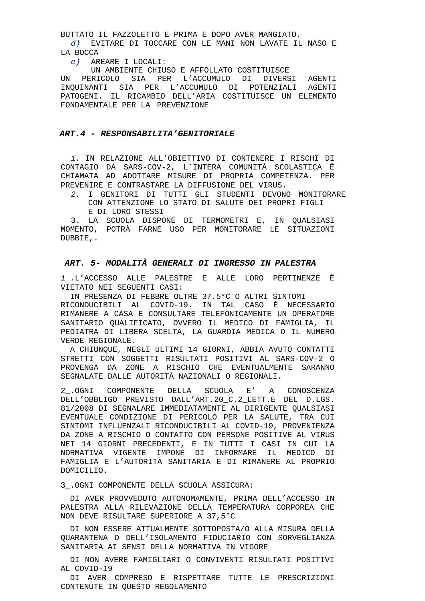BUTTATO IL FAZZOLETTO E PRIMA E DOPO AVER MANGIATO.

 $d$ ) EVITARE DI TOCCARE CON LE MANI NON LAVATE IL NASO E LA BOCCA

e) AREARE I LOCALI:

UN AMBIENTE CHIUSO E AFFOLLATO COSTITUISCE

**TTNT** PERICOLO SIA PER L'ACCUMULO DI DIVERSI AGENTI INQUINANTI SIA PER L'ACCUMULO DI POTENZIALI AGENTI PATOGENI. IL RICAMBIO DELL'ARIA COSTITUISCE UN ELEMENTO FONDAMENTALE PER LA PREVENZIONE

#### ART. 4 - RESPONSABILITA' GENITORIALE

1. IN RELAZIONE ALL'OBIETTIVO DI CONTENERE I RISCHI DI CONTAGIO DA SARS-COV-2, L'INTERA COMUNITÀ SCOLASTICA È CHIAMATA AD ADOTTARE MISURE DI PROPRIA COMPETENZA. PER PREVENIRE E CONTRASTARE LA DIFFUSIONE DEL VIRUS.

2. I GENITORI DI TUTTI GLI STUDENTI DEVONO MONITORARE CON ATTENZIONE LO STATO DI SALUTE DEI PROPRI FIGLI E DI LORO STESSI

3. LA SCUOLA DISPONE DI TERMOMETRI E, IN QUALSIASI MOMENTO, POTRÀ FARNE USO PER MONITORARE LE SITUAZIONI DUBBIE..

### ART. 5- MODALITÀ GENERALI DI INGRESSO IN PALESTRA

1 .L'ACCESSO ALLE PALESTRE E ALLE LORO PERTINENZE È VIETATO NEI SEGUENTI CASI:

IN PRESENZA DI FEBBRE OLTRE 37.5°C O ALTRI SINTOMI RICONDUCIBILI AL COVID-19. IN TAL CASO È NECESSARIO RIMANERE A CASA E CONSULTARE TELEFONICAMENTE UN OPERATORE SANITARIO OUALIFICATO, OVVERO IL MEDICO DI FAMIGLIA, IL PEDIATRA DI LIBERA SCELTA, LA GUARDIA MEDICA O IL NUMERO VERDE REGIONALE.

A CHIUNOUE, NEGLI ULTIMI 14 GIORNI, ABBIA AVUTO CONTATTI STRETTI CON SOGGETTI RISULTATI POSITIVI AL SARS-COV-2 O PROVENGA DA ZONE A RISCHIO CHE EVENTUALMENTE SARANNO SEGNALATE DALLE AUTORITÀ NAZIONALI O REGIONALI.

2. OGNI COMPONENTE DELLA SCUOLA E' A CONOSCENZA DELL'OBBLIGO PREVISTO DALL'ART.20\_C.2\_LETT.E DEL D.LGS. 81/2008 DI SEGNALARE IMMEDIATAMENTE AL DIRIGENTE QUALSIASI EVENTUALE CONDIZIONE DI PERICOLO PER LA SALUTE, TRA CUI SINTOMI INFLUENZALI RICONDUCIBILI AL COVID-19, PROVENIENZA DA ZONE A RISCHIO O CONTATTO CON PERSONE POSITIVE AL VIRUS NEI 14 GIORNI PRECEDENTI, E IN TUTTI I CASI IN CUI LA NORMATIVA VIGENTE IMPONE DI INFORMARE IL MEDICO DI FAMIGLIA E L'AUTORITÀ SANITARIA E DI RIMANERE AL PROPRIO DOMICILIO.

3 . OGNI COMPONENTE DELLA SCUOLA ASSICURA:

DI AVER PROVVEDUTO AUTONOMAMENTE, PRIMA DELL'ACCESSO IN PALESTRA ALLA RILEVAZIONE DELLA TEMPERATURA CORPOREA CHE NON DEVE RISULTARE SUPERIORE A 37,5°C

IT NON ESSERE ATTUALMENTE SOTTOPOSTA/O ALLA MISURA DELLA OUARANTENA O DELL'ISOLAMENTO FIDUCIARIO CON SORVEGLIANZA SANITARIA AI SENSI DELLA NORMATIVA IN VIGORE

DI NON AVERE FAMIGLIARI O CONVIVENTI RISULTATI POSITIVI AL COVID-19

DI AVER COMPRESO E RISPETTARE TUTTE LE PRESCRIZIONI CONTENUTE IN QUESTO REGOLAMENTO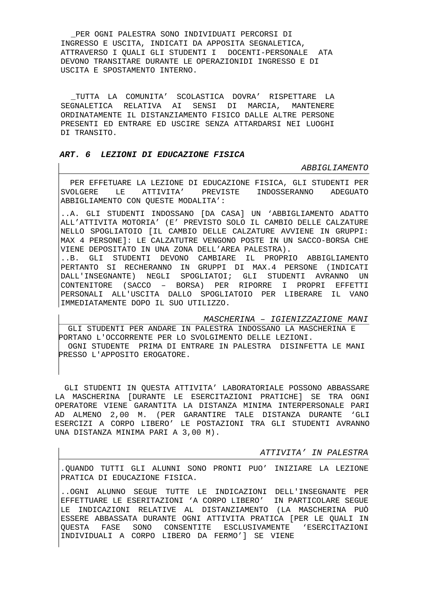**\_**PER OGNI PALESTRA SONO INDIVIDUATI PERCORSI DI INGRESSO E USCITA, INDICATI DA APPOSITA SEGNALETICA, ATTRAVERSO I QUALI GLI STUDENTI I DOCENTI-PERSONALE ATA DEVONO TRANSITARE DURANTE LE OPERAZIONIDI INGRESSO E DI USCITA E SPOSTAMENTO INTERNO.

**\_**TUTTA LA COMUNITA' SCOLASTICA DOVRA' RISPETTARE LA SEGNALETICA RELATIVA AI SENSI DI MARCIA, MANTENERE ORDINATAMENTE IL DISTANZIAMENTO FISICO DALLE ALTRE PERSONE PRESENTI ED ENTRARE ED USCIRE SENZA ATTARDARSI NEI LUOGHI DI TRANSITO.

## **ART. 6 LEZIONI DI EDUCAZIONE FISICA**

IMMEDIATAMENTE DOPO IL SUO UTILIZZO.

#### ABBIGLIAMENTO

 PER EFFETUARE LA LEZIONE DI EDUCAZIONE FISICA, GLI STUDENTI PER SVOLGERE LE ATTIVITA' PREVISTE INDOSSERANNO ADEGUATO ABBIGLIAMENTO CON QUESTE MODALITA':

..A. GLI STUDENTI INDOSSANO [DA CASA] UN 'ABBIGLIAMENTO ADATTO ALL'ATTIVITA MOTORIA' (E' PREVISTO SOLO IL CAMBIO DELLE CALZATURE NELLO SPOGLIATOIO [IL CAMBIO DELLE CALZATURE AVVIENE IN GRUPPI: MAX 4 PERSONE]: LE CALZATUTRE VENGONO POSTE IN UN SACCO-BORSA CHE VIENE DEPOSITATO IN UNA ZONA DELL'AREA PALESTRA). ..B. GLI STUDENTI DEVONO CAMBIARE IL PROPRIO ABBIGLIAMENTO PERTANTO SI RECHERANNO IN GRUPPI DI MAX.4 PERSONE (INDICATI DALL'INSEGNANTE) NEGLI SPOGLIATOI; GLI STUDENTI AVRANNO UN CONTENITORE (SACCO – BORSA) PER RIPORRE I PROPRI EFFETTI PERSONALI ALL'USCITA DALLO SPOGLIATOIO PER LIBERARE IL VANO

MASCHERINA – IGIENIZZAZIONE MANI GLI STUDENTI PER ANDARE IN PALESTRA INDOSSANO LA MASCHERINA E PORTANO L'OCCORRENTE PER LO SVOLGIMENTO DELLE LEZIONI. OGNI STUDENTE PRIMA DI ENTRARE IN PALESTRA DISINFETTA LE MANI PRESSO L'APPOSITO EROGATORE.

 GLI STUDENTI IN QUESTA ATTIVITA' LABORATORIALE POSSONO ABBASSARE LA MASCHERINA [DURANTE LE ESERCITAZIONI PRATICHE] SE TRA OGNI OPERATORE VIENE GARANTITA LA DISTANZA MINIMA INTERPERSONALE PARI AD ALMENO 2,00 M. (PER GARANTIRE TALE DISTANZA DURANTE 'GLI ESERCIZI A CORPO LIBERO' LE POSTAZIONI TRA GLI STUDENTI AVRANNO UNA DISTANZA MINIMA PARI A 3,00 M).

ATTIVITA' IN PALESTRA

.QUANDO TUTTI GLI ALUNNI SONO PRONTI PUO' INIZIARE LA LEZIONE PRATICA DI EDUCAZIONE FISICA.

..OGNI ALUNNO SEGUE TUTTE LE INDICAZIONI DELL'INSEGNANTE PER EFFETTUARE LE ESERITAZIONI 'A CORPO LIBERO' IN PARTICOLARE SEGUE LE INDICAZIONI RELATIVE AL DISTANZIAMENTO (LA MASCHERINA PUÒ ESSERE ABBASSATA DURANTE OGNI ATTIVITA PRATICA [PER LE QUALI IN QUESTA FASE SONO CONSENTITE ESCLUSIVAMENTE 'ESERCITAZIONI INDIVIDUALI A CORPO LIBERO DA FERMO'] SE VIENE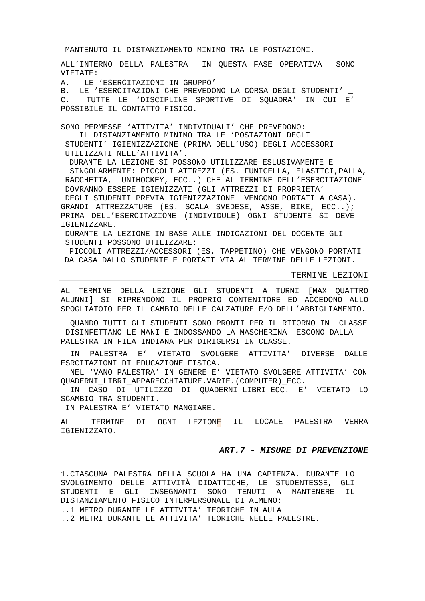TERMINE LEZIONI AL TERMINE DELLA LEZIONE GLI STUDENTI A TURNI [MAX QUATTRO ALUNNI] SI RIPRENDONO IL PROPRIO CONTENITORE ED ACCEDONO ALLO SPOGLIATOIO PER IL CAMBIO DELLE CALZATURE E/O DELL'ABBIGLIAMENTO. QUANDO TUTTI GLI STUDENTI SONO PRONTI PER IL RITORNO IN CLASSE DISINFETTANO LE MANI E INDOSSANDO LA MASCHERINA ESCONO DALLA PALESTRA IN FILA INDIANA PER DIRIGERSI IN CLASSE. IN PALESTRA E' VIETATO SVOLGERE ATTIVITA' DIVERSE DALLE ESRCITAZIONI DI EDUCAZIONE FISICA. NEL 'VANO PALESTRA' IN GENERE E' VIETATO SVOLGERE ATTIVITA' CON QUADERNI\_LIBRI\_APPARECCHIATURE.VARIE.(COMPUTER)\_ECC. IN CASO DI UTILIZZO DI QUADERNI LIBRI ECC. E' VIETATO LO SCAMBIO TRA STUDENTI. \_IN PALESTRA E' VIETATO MANGIARE. AL TERMINE DI OGNI LEZION<mark>E</mark> IL LOCALE PALESTRA VERRA MANTENUTO IL DISTANZIAMENTO MINIMO TRA LE POSTAZIONI. ALL'INTERNO DELLA PALESTRA IN QUESTA FASE OPERATIVA SONO VIETATE: A. LE 'ESERCITAZIONI IN GRUPPO' B. LE 'ESERCITAZIONI CHE PREVEDONO LA CORSA DEGLI STUDENTI' C. TUTTE LE 'DISCIPLINE SPORTIVE DI SQUADRA' IN CUI E' POSSIBILE IL CONTATTO FISICO. SONO PERMESSE 'ATTIVITA' INDIVIDUALI' CHE PREVEDONO: IL DISTANZIAMENTO MINIMO TRA LE 'POSTAZIONI DEGLI STUDENTI' IGIENIZZAZIONE (PRIMA DELL'USO) DEGLI ACCESSORI UTILIZZATI NELL'ATTIVITA'. DURANTE LA LEZIONE SI POSSONO UTILIZZARE ESLUSIVAMENTE E SINGOLARMENTE: PICCOLI ATTREZZI (ES. FUNICELLA, ELASTICI,PALLA, RACCHETTA, UNIHOCKEY, ECC..) CHE AL TERMINE DELL'ESERCITAZIONE DOVRANNO ESSERE IGIENIZZATI (GLI ATTREZZI DI PROPRIETA' DEGLI STUDENTI PREVIA IGIENIZZAZIONE VENGONO PORTATI A CASA). GRANDI ATTREZZATURE (ES. SCALA SVEDESE, ASSE, BIKE, ECC..); PRIMA DELL'ESERCITAZIONE (INDIVIDULE) OGNI STUDENTE SI DEVE IGIENIZZARE. DURANTE LA LEZIONE IN BASE ALLE INDICAZIONI DEL DOCENTE GLI STUDENTI POSSONO UTILIZZARE: PICCOLI ATTREZZI/ACCESSORI (ES. TAPPETINO) CHE VENGONO PORTATI DA CASA DALLO STUDENTE E PORTATI VIA AL TERMINE DELLE LEZIONI.

#### **ART.7 - MISURE DI PREVENZIONE**

1.CIASCUNA PALESTRA DELLA SCUOLA HA UNA CAPIENZA. DURANTE LO SVOLGIMENTO DELLE ATTIVITÀ DIDATTICHE, LE STUDENTESSE, GLI STUDENTI E GLI INSEGNANTI SONO TENUTI A MANTENERE IL DISTANZIAMENTO FISICO INTERPERSONALE DI ALMENO: ..1 METRO DURANTE LE ATTIVITA' TEORICHE IN AULA

..2 METRI DURANTE LE ATTIVITA' TEORICHE NELLE PALESTRE.

IGIENIZZATO.